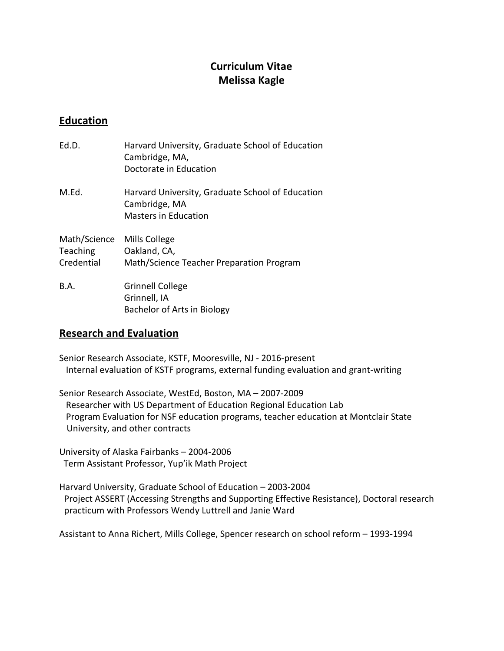# **Curriculum Vitae Melissa Kagle**

# **Education**

| Ed.D.                                  | Harvard University, Graduate School of Education<br>Cambridge, MA,<br>Doctorate in Education     |
|----------------------------------------|--------------------------------------------------------------------------------------------------|
| M.Ed.                                  | Harvard University, Graduate School of Education<br>Cambridge, MA<br><b>Masters in Education</b> |
| Math/Science<br>Teaching<br>Credential | Mills College<br>Oakland, CA,<br>Math/Science Teacher Preparation Program                        |
| B.A.                                   | <b>Grinnell College</b><br>Grinnell, IA<br>Bachelor of Arts in Biology                           |

## **Research and Evaluation**

Senior Research Associate, KSTF, Mooresville, NJ - 2016-present Internal evaluation of KSTF programs, external funding evaluation and grant-writing

Senior Research Associate, WestEd, Boston, MA - 2007-2009 Researcher with US Department of Education Regional Education Lab Program Evaluation for NSF education programs, teacher education at Montclair State University, and other contracts

University of Alaska Fairbanks - 2004-2006 Term Assistant Professor, Yup'ik Math Project

Harvard University, Graduate School of Education - 2003-2004 Project ASSERT (Accessing Strengths and Supporting Effective Resistance), Doctoral research practicum with Professors Wendy Luttrell and Janie Ward

Assistant to Anna Richert, Mills College, Spencer research on school reform - 1993-1994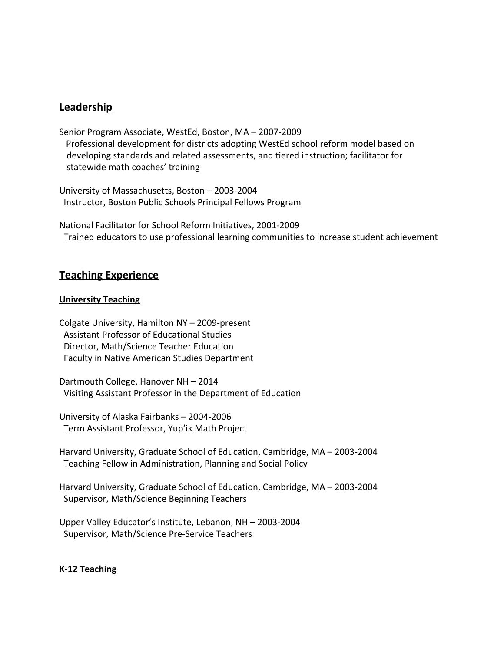### **Leadership**

Senior Program Associate, WestEd, Boston, MA - 2007-2009 Professional development for districts adopting WestEd school reform model based on developing standards and related assessments, and tiered instruction; facilitator for statewide math coaches' training

University of Massachusetts, Boston - 2003-2004 Instructor, Boston Public Schools Principal Fellows Program

National Facilitator for School Reform Initiatives, 2001-2009 Trained educators to use professional learning communities to increase student achievement

### **Teaching Experience**

#### **University Teaching**

Colgate University, Hamilton  $NY - 2009$ -present Assistant Professor of Educational Studies Director, Math/Science Teacher Education Faculty in Native American Studies Department

Dartmouth College, Hanover NH – 2014 Visiting Assistant Professor in the Department of Education

University of Alaska Fairbanks - 2004-2006 Term Assistant Professor, Yup'ik Math Project

Harvard University, Graduate School of Education, Cambridge, MA - 2003-2004 Teaching Fellow in Administration, Planning and Social Policy

Harvard University, Graduate School of Education, Cambridge, MA - 2003-2004 Supervisor, Math/Science Beginning Teachers

Upper Valley Educator's Institute, Lebanon, NH - 2003-2004 Supervisor, Math/Science Pre-Service Teachers

#### **K12 Teaching**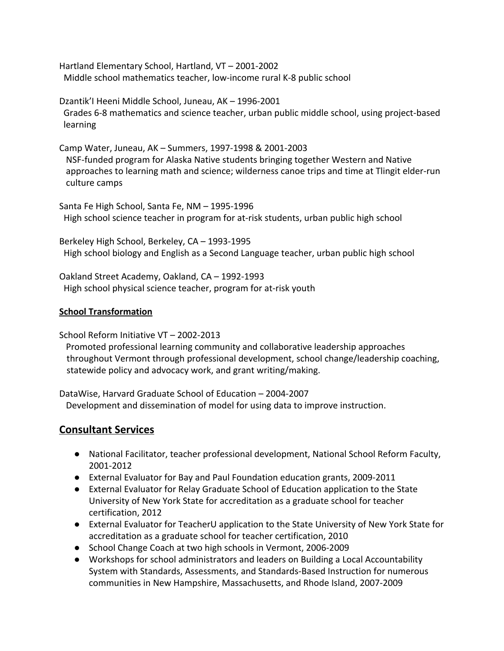Hartland Elementary School, Hartland, VT - 2001-2002 Middle school mathematics teacher, low-income rural K-8 public school

Dzantik'I Heeni Middle School, Juneau, AK - 1996-2001 Grades 6-8 mathematics and science teacher, urban public middle school, using project-based learning

Camp Water, Juneau, AK - Summers, 1997-1998 & 2001-2003 NSFfunded program for Alaska Native students bringing together Western and Native approaches to learning math and science; wilderness canoe trips and time at Tlingit elder-run culture camps

Santa Fe High School, Santa Fe, NM - 1995-1996 High school science teacher in program for at-risk students, urban public high school

Berkeley High School, Berkeley, CA - 1993-1995 High school biology and English as a Second Language teacher, urban public high school

Oakland Street Academy, Oakland, CA - 1992-1993 High school physical science teacher, program for at-risk youth

#### **School Transformation**

School Reform Initiative VT - 2002-2013

Promoted professional learning community and collaborative leadership approaches throughout Vermont through professional development, school change/leadership coaching, statewide policy and advocacy work, and grant writing/making.

DataWise, Harvard Graduate School of Education - 2004-2007 Development and dissemination of model for using data to improve instruction.

## **Consultant Services**

- National Facilitator, teacher professional development, National School Reform Faculty, 2001-2012
- External Evaluator for Bay and Paul Foundation education grants, 2009-2011
- External Evaluator for Relay Graduate School of Education application to the State University of New York State for accreditation as a graduate school for teacher certification, 2012
- External Evaluator for TeacherU application to the State University of New York State for accreditation as a graduate school for teacher certification, 2010
- School Change Coach at two high schools in Vermont, 2006-2009
- Workshops for school administrators and leaders on Building a Local Accountability System with Standards, Assessments, and Standards-Based Instruction for numerous communities in New Hampshire, Massachusetts, and Rhode Island, 2007-2009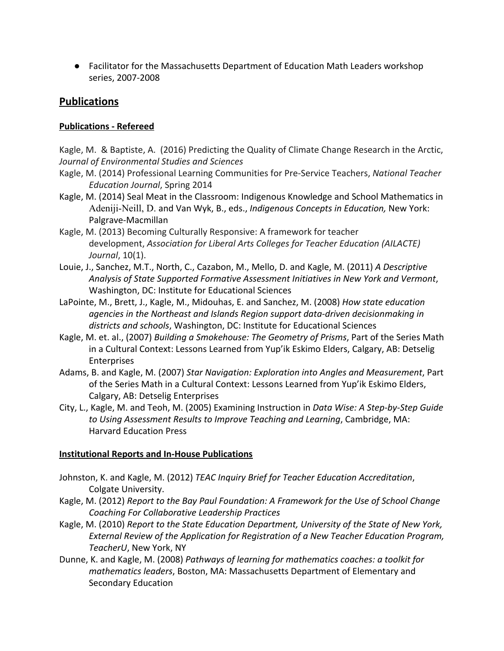● Facilitator for the Massachusetts Department of Education Math Leaders workshop series, 2007-2008

# **Publications**

### **Publications Refereed**

Kagle, M. & Baptiste, A. (2016) Predicting the Quality of Climate Change Research in the Arctic, *Journal of Environmental Studies and Sciences*

- Kagle, M. (2014) Professional Learning Communities for Pre-Service Teachers, *National Teacher Education Journal*, Spring 2014
- Kagle, M. (2014) Seal Meat in the Classroom: Indigenous Knowledge and School Mathematics in Adeniji-Neill, D. and Van Wyk, B., eds., *Indigenous Concepts in Education*, New York: Palgrave-Macmillan
- Kagle, M. (2013) Becoming Culturally Responsive: A framework for teacher development, *Association for Liberal Arts Colleges for Teacher Education (AILACTE) Journal*, 10(1).
- Louie, J., Sanchez, M.T., North, C., Cazabon, M., Mello, D. and Kagle, M. (2011) *A Descriptive Analysis of State Supported Formative Assessment Initiatives in New York and Vermont*, Washington, DC: Institute for Educational Sciences
- LaPointe, M., Brett, J., Kagle, M., Midouhas, E. and Sanchez, M. (2008) *How state education agencies in* the Northeast and *Islands* Region support *data-driven decisionmaking* in *districts and schools*, Washington, DC: Institute for Educational Sciences
- Kagle, M. et. al., (2007) *Building a Smokehouse: The Geometry of Prisms*, Part of the Series Math in a Cultural Context: Lessons Learned from Yup'ik Eskimo Elders, Calgary, AB: Detselig Enterprises
- Adams, B. and Kagle, M. (2007) *Star Navigation: Exploration into Angles and Measurement*, Part of the Series Math in a Cultural Context: Lessons Learned from Yup'ik Eskimo Elders, Calgary, AB: Detselig Enterprises
- City, L., Kagle, M. and Teoh, M. (2005) Examining Instruction in *Data Wise: A StepbyStep Guide to Using Assessment Results to Improve Teaching and Learning*, Cambridge, MA: Harvard Education Press

### **Institutional Reports and In-House Publications**

- Johnston, K. and Kagle, M. (2012) *TEAC Inquiry Brief for Teacher Education Accreditation*, Colgate University.
- Kagle, M. (2012) *Report to the Bay Paul Foundation: A Framework for the Use of School Change Coaching For Collaborative Leadership Practices*
- Kagle, M. (2010) *Report to the State Education Department, University of the State of New York, External Review of the Application for Registration of a New Teacher Education Program, TeacherU*, New York, NY
- Dunne, K. and Kagle, M. (2008) *Pathways of learning for mathematics coaches: a toolkit for mathematics leaders*, Boston, MA: Massachusetts Department of Elementary and Secondary Education